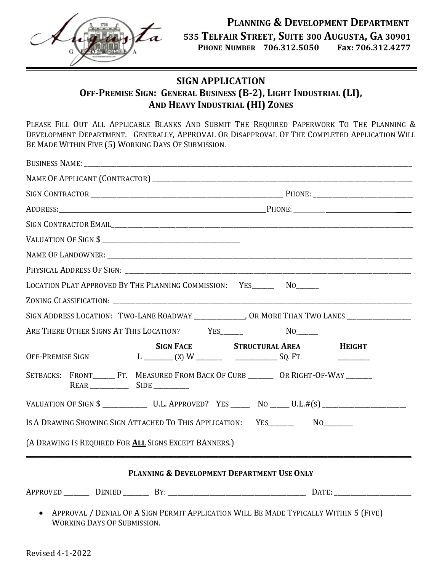

## **SIGN APPLICATION OFF-PREMISE SIGN: GENERAL BUSINESS (B-2), LIGHT INDUSTRIAL (LI), AND HEAVY INDUSTRIAL (HI) ZONES**

PLEASE FILL OUT ALL APPLICABLE BLANKS AND SUBMIT THE REQUIRED PAPERWORK TO THE PLANNING & DEVELOPMENT DEPARTMENT. GENERALLY, APPROVAL O<sup>R</sup> DISAPPROVAL OF THE COMPLETED APPLICATION WILL BE MADE WITHIN FIVE (5) WORKING DAYS OF SUBMISSION.

|  |                                                                                                                                                                                                                                                                                                                                                                                          |                               | SIGN CONTRACTOR EMAIL PORT CONTRACTOR EMAIL                                                         |
|--|------------------------------------------------------------------------------------------------------------------------------------------------------------------------------------------------------------------------------------------------------------------------------------------------------------------------------------------------------------------------------------------|-------------------------------|-----------------------------------------------------------------------------------------------------|
|  | VALUATION OF SIGN \$                                                                                                                                                                                                                                                                                                                                                                     |                               |                                                                                                     |
|  |                                                                                                                                                                                                                                                                                                                                                                                          |                               |                                                                                                     |
|  |                                                                                                                                                                                                                                                                                                                                                                                          |                               |                                                                                                     |
|  | LOCATION PLAT APPROVED BY THE PLANNING COMMISSION: YES________ NO______                                                                                                                                                                                                                                                                                                                  |                               |                                                                                                     |
|  |                                                                                                                                                                                                                                                                                                                                                                                          |                               |                                                                                                     |
|  |                                                                                                                                                                                                                                                                                                                                                                                          |                               | SIGN ADDRESS LOCATION: TWO-LANE ROADWAY ______________, OR MORE THAN TWO LANES ____________________ |
|  | ARE THERE OTHER SIGNS AT THIS LOCATION? YES______                                                                                                                                                                                                                                                                                                                                        |                               |                                                                                                     |
|  | <b>SIGN FACE</b><br>OFF-PREMISE SIGN $L$ $\qquad \qquad$ $\qquad$ $\qquad \qquad$ $\qquad$ $\qquad \qquad$ $\qquad \qquad$ $\qquad \qquad$ $\qquad \qquad$ $\qquad \qquad$ $\qquad \qquad$ $\qquad \qquad$ $\qquad \qquad$ $\qquad \qquad$ $\qquad \qquad$ $\qquad \qquad$ $\qquad \qquad$ $\qquad$ $\qquad$ $\qquad$ $\qquad$ $\qquad$ $\qquad$ $\qquad$ $\qquad$ $\qquad$ $\qquad$ $\$ | <b>STRUCTURAL AREA HEIGHT</b> |                                                                                                     |
|  | SETBACKS: FRONT________FT. MEASURED FROM BACK OF CURB __________ OR RIGHT-OF-WAY ________                                                                                                                                                                                                                                                                                                |                               |                                                                                                     |
|  |                                                                                                                                                                                                                                                                                                                                                                                          |                               |                                                                                                     |
|  | IS A DRAWING SHOWING SIGN ATTACHED TO THIS APPLICATION: YES__________ NO________                                                                                                                                                                                                                                                                                                         |                               |                                                                                                     |
|  | (A DRAWING IS REQUIRED FOR ALL SIGNS EXCEPT BANNERS.)                                                                                                                                                                                                                                                                                                                                    |                               |                                                                                                     |
|  | PLANNING & DEVELOPMENT DEPARTMENT USE ONLY                                                                                                                                                                                                                                                                                                                                               |                               |                                                                                                     |
|  |                                                                                                                                                                                                                                                                                                                                                                                          |                               |                                                                                                     |

WORKING DAYS OF SUBMISSION.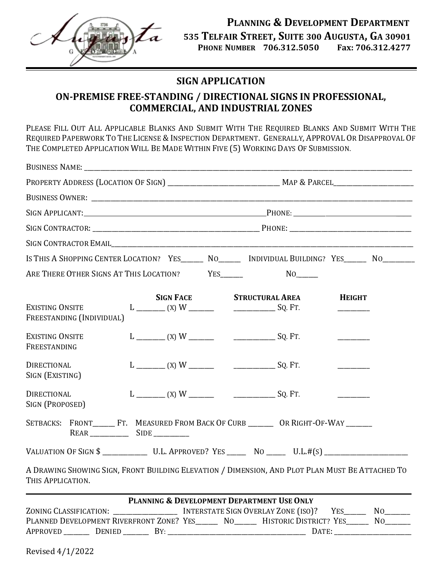

## **SIGN APPLICATION**

## **ON-PREMISE FREE-STANDING / DIRECTIONAL SIGNS IN PROFESSIONAL, COMMERCIAL, AND INDUSTRIAL ZONES**

PLEASE FILL OUT ALL APPLICABLE BLANKS AND SUBMIT WITH THE REQUIRED BLANKS AND SUBMIT WITH THE REQUIRED PAPERWORK TO THE LICENSE & INSPECTION DEPARTMENT. GENERALLY, APPROVAL OR DISAPPROVAL OF THE COMPLETED APPLICATION WILL BE MADE WITHIN FIVE (5) WORKING DAYS OF SUBMISSION.

| SIGN APPLICANT: PHONE: PHONE:                                                                                        |  |                  |                                            |  |               |                       |  |  |
|----------------------------------------------------------------------------------------------------------------------|--|------------------|--------------------------------------------|--|---------------|-----------------------|--|--|
|                                                                                                                      |  |                  |                                            |  |               |                       |  |  |
|                                                                                                                      |  |                  |                                            |  |               |                       |  |  |
| IS THIS A SHOPPING CENTER LOCATION? YES_______ NO________ INDIVIDUAL BUILDING? YES_______ NO________                 |  |                  |                                            |  |               |                       |  |  |
| ARE THERE OTHER SIGNS AT THIS LOCATION? YES                                                                          |  |                  |                                            |  |               |                       |  |  |
| <b>EXISTING ONSITE</b><br>FREESTANDING (INDIVIDUAL)                                                                  |  | <b>SIGN FACE</b> | <b>STRUCTURAL AREA</b>                     |  | <b>HEIGHT</b> |                       |  |  |
| <b>EXISTING ONSITE</b><br>FREESTANDING                                                                               |  |                  |                                            |  |               |                       |  |  |
| <b>DIRECTIONAL</b><br>SIGN (EXISTING)                                                                                |  |                  |                                            |  |               |                       |  |  |
| <b>DIRECTIONAL</b><br>SIGN (PROPOSED)                                                                                |  |                  |                                            |  |               |                       |  |  |
| SETBACKS: FRONT_________FT. MEASURED FROM BACK OF CURB ___________ OR RIGHT-OF-WAY ________                          |  |                  |                                            |  |               |                       |  |  |
| VALUATION OF SIGN \$ ________________ U.L. APPROVED? YES ________ NO _______ U.L.#(S) ______________                 |  |                  |                                            |  |               |                       |  |  |
| A DRAWING SHOWING SIGN, FRONT BUILDING ELEVATION / DIMENSION, AND PLOT PLAN MUST BE ATTACHED TO<br>THIS APPLICATION. |  |                  |                                            |  |               |                       |  |  |
| ZONING CLASSIFICATION: ____________________ INTERSTATE SIGN OVERLAY ZONE (ISO)?                                      |  |                  | PLANNING & DEVELOPMENT DEPARTMENT USE ONLY |  |               | $No$ <sub>_____</sub> |  |  |